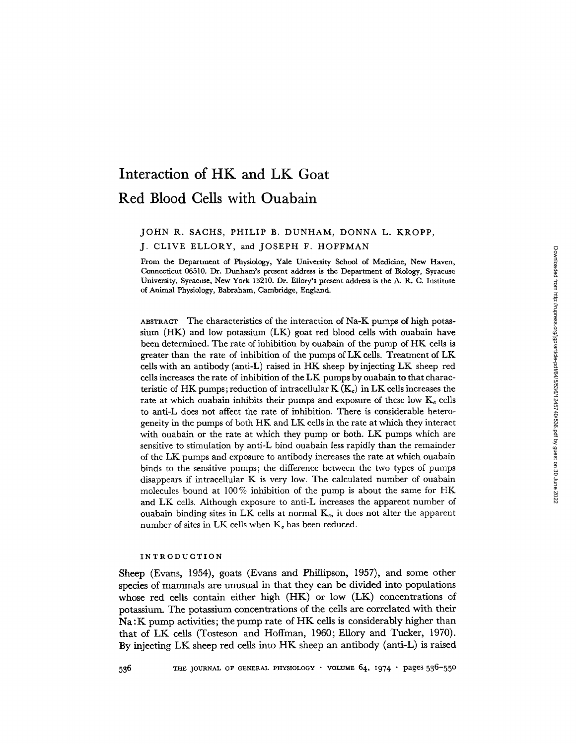# **Interaction of** HK and LK Goat **Red Blood Cells with Ouabain**

# JOHN R. SACHS, PHILIP B. DUNHAM, DONNA L. KROPP,

J. CLIVE ELLORY, **and JOSEPH F. HOFFMAN**

From the Department of Physiology, Yale University School of Medicine, New Haven, Connecticut 06510. Dr. Dunham's present address is the Department of Biology, Syracuse University, Syracuse, New York 13210. Dr. Ellory's present address is the A. R. C. Institute of Animal Physiology, Babraham, Cambridge, England.

ABSTRACT The characteristics of the interaction of Na-K pumps of high potassium (HK) and low potassium (LK) goat red blood cells with ouabain have been determined. The rate of inhibition by ouabain of the pump of HK cells is greater than the rate of inhibition of the pumps of LK cells. Treatment of LK cells with an antibody (anti-L) raised in HK sheep by injecting LK sheep red cells increases the rate of inhibition of the LK pumps by ouabain to that characteristic of HK pumps; reduction of intracellular  $K(K_c)$  in LK cells increases the rate at which ouabain inhibits their pumps and exposure of these low  $K_c$  cells to anti-L does not affect the rate of inhibition. There is considerable heterogeneity in the pumps of both HK and LK cells in the rate at which they interact with ouabain or the rate at which they pump or both. LK pumps which are sensitive to stimulation by anti-L bind ouabain less rapidly than the remainder of the LK pumps and exposure to antibody increases the rate at which ouabain binds to the sensitive pumps; the difference between the two types of pumps disappears if intracellular K is very low. The calculated number of ouabain molecules bound at 100% inhibition of the pump is about the same for HK and LK cells. Although exposure to anti-L increases the apparent number of ouabain binding sites in LK cells at normal  $K_c$ , it does not alter the apparent number of sites in LK cells when  $K_c$  has been reduced.

## INTRODUCTION

Sheep (Evans, 1954), goats (Evans and Phillipson, 1957), **and** some other species of mammals are unusual in that they can be **divided** into populations **whose red** cells contain either high (HK) or low (LK) concentrations of potassium. The potassium concentrations of the cells are correlated with their Na: K **pump activities;** the pump rate of HK cells is considerably higher than that of LK cells (Tosteson and Hoffman, 1960; Ellory and Tucker, 1970). By injecting LK sheep red cells into HK sheep an antibody (anti-L) is raised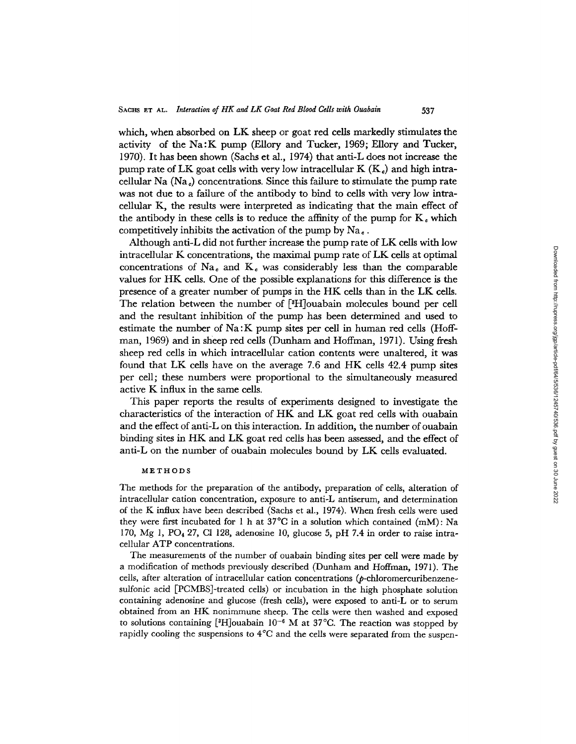which, when absorbed on LK sheep or goat red cells markedly stimulates the activity of the Na:K pump (Ellory and Tucker, 1969; Ellory and Tucker, 1970). It has been shown (Sachs et al., 1974) that anti-L does not increase the pump rate of LK goat cells with very low intracellular K  $(K_e)$  and high intracellular Na  $(Na_e)$  concentrations. Since this failure to stimulate the pump rate was not due to a failure of the antibody to bind to cells with very low intracellular K, the results were interpreted as indicating that the main effect of the antibody in these cells is to reduce the affinity of the pump for  $K_c$  which competitively inhibits the activation of the pump by  $Na<sub>e</sub>$ 

537

Although anti-L did not further increase the pump rate of LK cells with low intracellular K concentrations, the maximal pump rate of LK cells at optimal concentrations of  $Na<sub>e</sub>$  and  $K<sub>e</sub>$  was considerably less than the comparable values for HK cells. One of the possible explanations for this difference is the presence of a greater number of pumps in the HK cells than in the LK cells. The relation between the number of [H]ouabain molecules bound per cell and the resultant inhibition of the pump has been determined and used to estimate the number of Na:K pump sites per cell in human red cells (Hoffman, 1969) and in sheep red cells (Dunham and Hoffman, 1971). Using fresh sheep red cells in which intracellular cation contents were unaltered, it was found that LK cells have on the average 7.6 and HK cells 42.4 pump sites per cell; these numbers were proportional to the simultaneously measured active K influx in the same cells.

This paper reports the results of experiments designed to investigate the characteristics of the interaction of HK and LK goat red cells with ouabain and the effect of anti-L on this interaction. In addition, the number of ouabain binding sites in HK and LK goat red cells has been assessed, and the effect of anti-L on the number of ouabain molecules bound by LK cells evaluated.

#### METHODS

The methods for the preparation of the antibody, preparation of cells, alteration of intracellular cation concentration, exposure to anti-L antiserum, and determination of the K influx have been described (Sachs et al., 1974). When fresh cells were used they were first incubated for 1 h at  $37^{\circ}$ C in a solution which contained (mM): Na 170, Mg 1, PO<sub>4</sub> 27, Cl 128, adenosine 10, glucose 5, pH 7.4 in order to raise intracellular ATP concentrations.

The measurements of the number of ouabain binding sites per cell were made by a modification of methods previously described (Dunham and Hoffman, 1971). The cells, after alteration of intracellular cation concentrations (p-chloromercuribenzenesulfonic acid [PCMBS]-treated cells) or incubation in the high phosphate solution containing adenosine and glucose (fresh cells), were exposed to anti-L or to serum obtained from an HK nonimmune sheep. The cells were then washed and exposed to solutions containing [3H]ouabain 10<sup>-6</sup> M at 37°C. The reaction was stopped by rapidly cooling the suspensions to 4°C and the cells were separated from the suspen-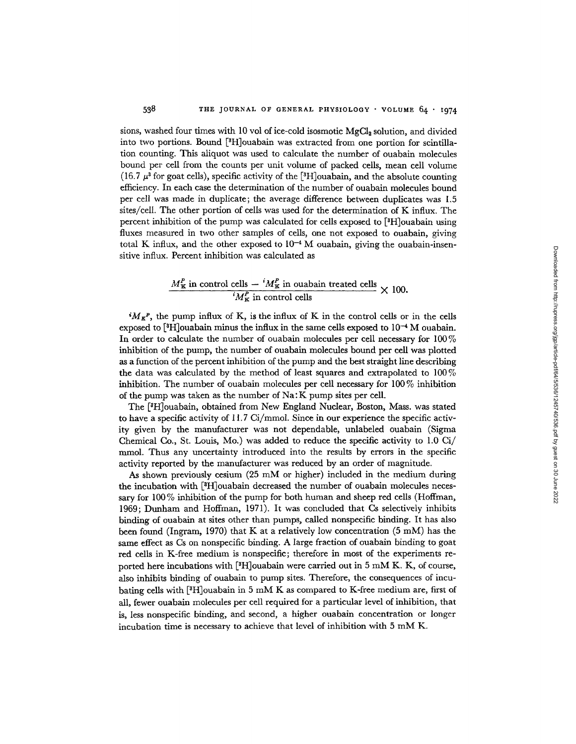sions, washed four times with 10 vol of ice-cold isosmotic MgCI <sup>2</sup> solution, and divided into two portions. Bound [ 3H]ouabain was extracted from one portion for scintillation counting. This aliquot was used to calculate the number of ouabain molecules bound per cell from the counts per unit volume of packed cells, mean cell volume (16.7  $\mu^3$  for goat cells), specific activity of the  $[^3\mathrm{H}]$ ouabain, and the absolute counting efficiency. In each case the determination of the number of ouabain molecules bound per cell was made in duplicate; the average difference between duplicates was 1.5 sites/cell. The other portion of cells was used for the determination of K influx. The percent inhibition of the pump was calculated for cells exposed to [H]ouabain using fluxes measured in two other samples of cells, one not exposed to ouabain, giving total K influx, and the other exposed to  $10^{-4}$  M ouabain, giving the ouabain-insensitive influx. Percent inhibition was calculated as

# $M_K^P$  in control cells  $M_K^P$  in ouabain treated cells  $\times$  100  ${}^tM_{\rm K}^{\prime\prime}$  in control cells

 $^iM_{K}$ <sup>P</sup>, the pump influx of K, is the influx of K in the control cells or in the cells exposed to [H]ouabain minus the influx in the same cells exposed to **10 -** M ouabain. In order to calculate the number of ouabain molecules per cell necessary for 100% inhibition of the pump, the number of ouabain molecules bound per cell was plotted as a function of the percent inhibition of the pump and the best straight line describing the data was calculated by the method of least squares and extrapolated to 100% inhibition. The number of ouabain molecules per cell necessary for 100 % inhibition of the pump was taken as the number of Na: K pump sites per cell.

The [H]ouabain, obtained from New England Nuclear, Boston, Mass. was stated to have a specific activity of  $11.7$  Ci/mmol. Since in our experience the specific activity given by the manufacturer was not dependable, unlabeled ouabain (Sigma Chemical Co., St. Louis, Mo.) was added to reduce the specific activity to  $1.0 \text{ Ci}/$ mmol. Thus any uncertainty introduced into the results by errors in the specific activity reported by the manufacturer was reduced by an order of magnitude.

As shown previously cesium (25 mM or higher) included in the medium during the incubation with [H]ouabain decreased the number of ouabain molecules necessary for 100 % inhibition of the pump for both human and sheep red cells (Hoffman, 1969; Dunham and Hoffman, 1971). It was concluded that Cs selectively inhibits binding of ouabain at sites other than pumps, called nonspecific binding. It has also been found (Ingram, 1970) that K at a relatively low concentration  $(5 \text{ mM})$  has the same effect as Cs on nonspecific binding. A large fraction of ouabain binding to goat red cells in K-free medium is nonspecific; therefore in most of the experiments reported here incubations with [ ${}^{3}H$ ]ouabain were carried out in 5 mM K. K, of course, also inhibits binding of ouabain to pump sites. Therefore, the consequences of incubating cells with [ ${}^{3}H$ ]ouabain in 5 mM K as compared to K-free medium are, first of all, fewer ouabain molecules per cell required for a particular level of inhibition, that is, less nonspecific binding, and second, a higher ouabain concentration or longer incubation time is necessary to achieve that level of inhibition with  $5 \text{ mM K}$ .

538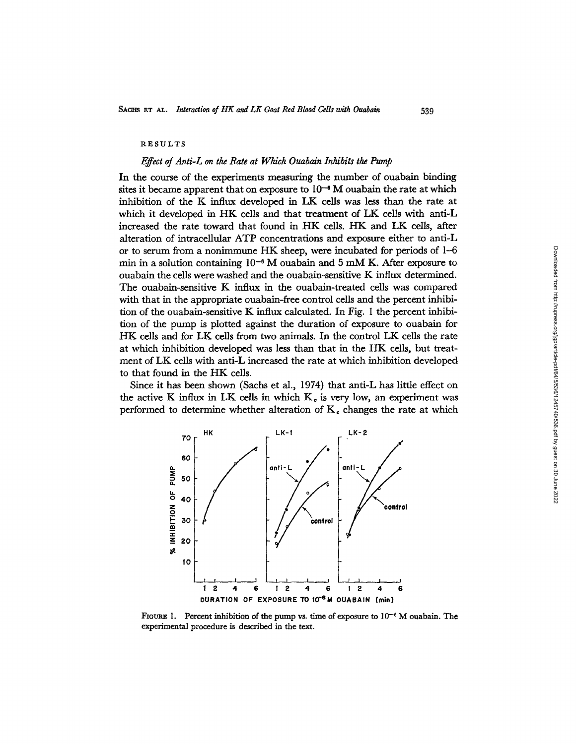#### RESULTS

#### *Effect of Anti-L on the Rate at Which Ouabain Inhibits the Pump*

In the course of the experiments measuring the number of ouabain binding sites it became apparent that on exposure to  $10^{-6}$  M ouabain the rate at which inhibition of the K influx developed in LK cells was less than the rate at which it developed in HK cells and that treatment of LK cells with anti-L increased the rate toward that found in HK cells. HK and LK cells, after alteration of intracellular ATP concentrations and exposure either to anti-L or to serum from a nonimmune HK sheep, were incubated for periods of 1-6 min in a solution containing  $10^{-6}$  M ouabain and 5 mM K. After exposure to ouabain the cells were washed and the ouabain-sensitive K influx determined. The ouabain-sensitive K influx in the ouabain-treated cells was compared with that in the appropriate ouabain-free control cells and the percent inhibition of the ouabain-sensitive K influx calculated. In Fig. I the percent inhibition of the pump is plotted against the duration of exposure to ouabain for HK cells and for LK cells from two animals. In the control LK cells the rate at which inhibition developed was less than that in the HK cells, but treatment of LK cells with anti-L increased the rate at which inhibition developed to that found in the HK cells.

Since it has been shown (Sachs et al., 1974) that anti-L has little effect on the active K influx in LK cells in which  $K<sub>c</sub>$  is very low, an experiment was performed to determine whether alteration of  $K_c$  changes the rate at which



FIGURE 1. Percent inhibition of the pump vs. time of exposure to  $10^{-6}$  M ouabain. The experimental procedure is described in the text.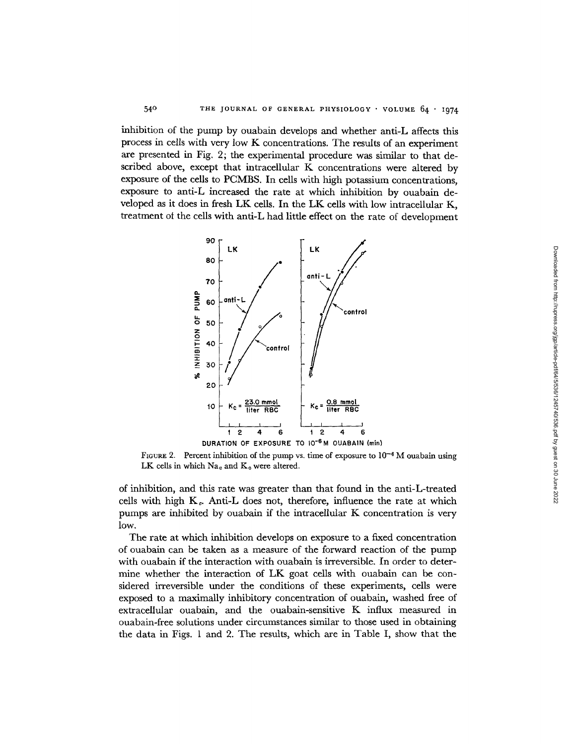inhibition of the pump by ouabain develops and whether anti-L affects this process in cells with very low K concentrations. The results of an experiment are presented in Fig. 2; the experimental procedure was similar to that described above, except that intracellular K concentrations were altered by exposure of the cells to PCMBS. In cells with high potassium concentrations, exposure to anti-L increased the rate at which inhibition by ouabain developed as it does in fresh LK cells. In the LK cells with low intracellular K, treatment ot the cells with anti-L had little effect on the rate of development

54 °



FIGURE 2. Percent inhibition of the pump vs. time of exposure to  $10^{-6}$  M ouabain using LK cells in which  $Na<sub>e</sub>$  and  $K<sub>e</sub>$  were altered.

of inhibition, and this rate was greater than that found in the anti-L-treated cells with high  $K_c$ . Anti-L does not, therefore, influence the rate at which pumps are inhibited by ouabain if the intracellular K concentration is very low.

The rate at which inhibition develops on exposure to a fixed concentration of ouabain can be taken as a measure of the forward reaction of the pump with ouabain if the interaction with ouabain is irreversible. In order to determine whether the interaction of LK goat cells with ouabain can be considered irreversible under the conditions of these experiments, cells were exposed to a maximally inhibitory concentration of ouabain, washed free of extracellular ouabain, and the ouabain-sensitive K influx measured in ouabain-free solutions under circumstances similar to those used in obtaining the data in Figs. 1 and 2. The results, which are in Table I, show that the Downloaded from http://rupress.org/igp/article-pdf/64/5/536/1245740/536.pdf by guest on 30 June 2022 Downloaded from http://rupress.org/jgp/article-pdf/64/5/536/1245740/536.pdf by guest on 30 June 2022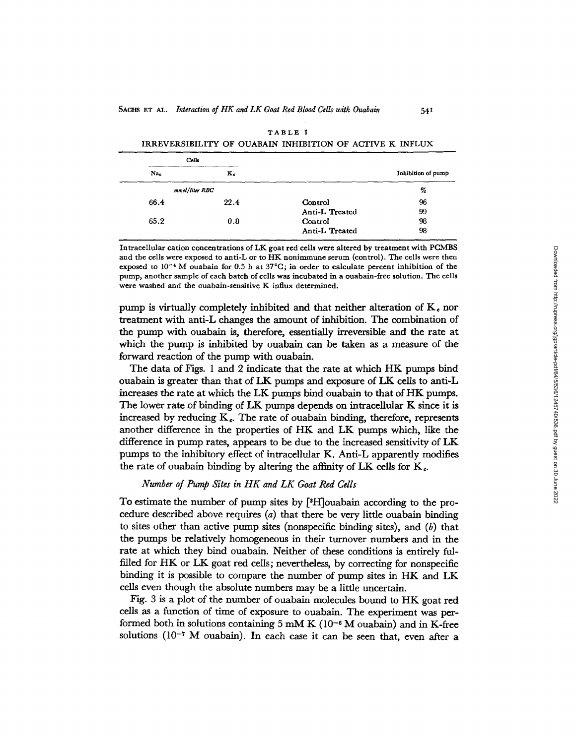|                    |                | Cells |                |  |
|--------------------|----------------|-------|----------------|--|
| Inhibition of pump |                | $K_c$ | Na.            |  |
|                    |                |       | mmol/liter RBC |  |
|                    | Control        | 22.4  | 66.4           |  |
|                    | Anti-L Treated |       |                |  |
|                    | Control        | 0.8   | 65.2           |  |
|                    | Anti-L Treated |       |                |  |

| TABLE I                                                  |  |  |  |  |  |  |  |
|----------------------------------------------------------|--|--|--|--|--|--|--|
| IRREVERSIBILITY OF OUABAIN INHIBITION OF ACTIVE K INFLUX |  |  |  |  |  |  |  |

54I

Intracellular cation concentrations of LK goat red cells were altered by treatment with PCMBS and the cells were exposed to anti-L or to HK nonimmune serum (control). The cells were then exposed to 10<sup>-4</sup> M ouabain for 0.5 h at 37°C; in order to calculate percent inhibition of the pump, another sample of each batch of cells was incubated in a ouabain-free solution. The cells were washed and the ouabain-sensitive K influx determined.

pump is virtually completely inhibited and that neither alteration of  $K<sub>e</sub>$  nor treatment with anti-L changes the amount of inhibition. The combination of the pump with ouabain is, therefore, essentially irreversible and the rate at which the pump is inhibited by ouabain can be taken as a measure of the forward reaction of the pump with ouabain.

The data of Figs. 1 and 2 indicate that the rate at which HK pumps bind ouabain is greater than that of LK pumps and exposure of LK cells to anti-L increases the rate at which the LK pumps bind ouabain to that of HK pumps. The lower rate of binding of LK pumps depends on intracellular K since it is increased by reducing  $K<sub>e</sub>$ . The rate of ouabain binding, therefore, represents another difference in the properties of HK and LK pumps which, like the difference in pump rates, appears to be due to the increased sensitivity of LK pumps to the inhibitory effect of intracellular K. Anti-L apparently modifies the rate of ouabain binding by altering the affinity of LK cells for  $K_c$ .

## *Number of Pump Sites in HK and LK Goat Red Cells*

To estimate the number of pump sites by [<sup>3</sup>H]ouabain according to the procedure described above requires *(a)* that there be very little ouabain binding to sites other than active pump sites (nonspecific binding sites), and *(b)* that the pumps be relatively homogeneous in their turnover numbers and in the rate at which they bind ouabain. Neither of these conditions is entirely fulfilled for HK or LK goat red cells; nevertheless, by correcting for nonspecific binding it is possible to compare the number of pump sites in HK and LK cells even though the absolute numbers may be a little uncertain.

Fig. 3 is a plot of the number of ouabain molecules bound to HK goat red cells as a function of time of exposure to ouabain. The experiment was performed both in solutions containing 5 mM K ( $10^{-6}$  M ouabain) and in K-free solutions (10<sup>-7</sup> M ouabain). In each case it can be seen that, even after a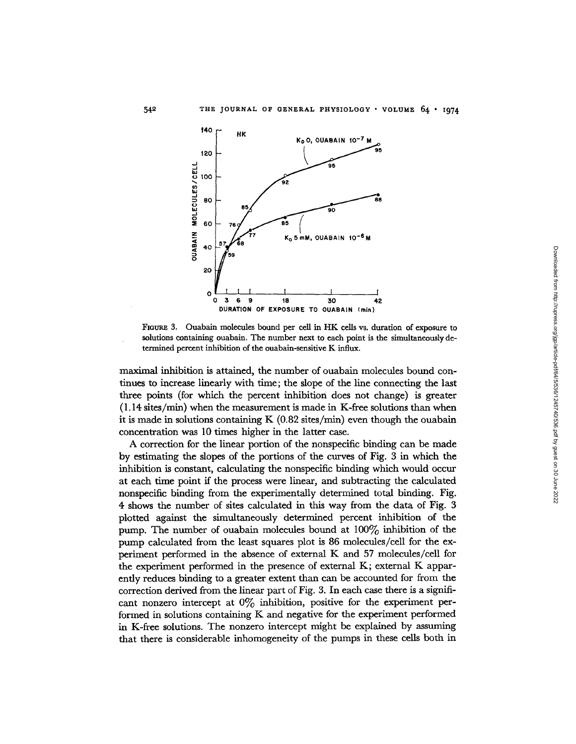

**FIGURE** 3. Ouabain molecules bound per cell in HK cells vs. duration of exposure to solutions containing ouabain. The number next to each point is the simultaneously determined percent inhibition of the ouabain-sensitive K influx.

maximal inhibition is attained, the number of ouabain molecules bound continues to increase linearly with time; the slope of the line connecting the last three points (for which the percent inhibition does not change) is greater (1.14 sites/min) when the measurement is made in K-free solutions than when it is made in solutions containing K  $(0.82 \text{ sites/min})$  even though the ouabain concentration was 10 times higher in the latter case.

A correction for the linear portion of the nonspecific binding can be made by estimating the slopes of the portions of the curves of Fig. 3 in which the inhibition is constant, calculating the nonspecific binding which would occur at each time point if the process were linear, and subtracting the calculated nonspecific binding from the experimentally determined total binding. Fig. 4 shows the number of sites calculated in this way from the data of Fig. 3 plotted against the simultaneously determined percent inhibition of the pump. The number of ouabain molecules bound at  $100\%$  inhibition of the pump calculated from the least squares plot is 86 molecules/cell for the experiment performed in the absence of external K and 57 molecules/cell for the experiment performed in the presence of external K; external K apparently reduces binding to a greater extent than can be accounted for from the correction derived from the linear part of Fig. 3. In each case there is a significant nonzero intercept at  $0\%$  inhibition, positive for the experiment performed in solutions containing K and negative for the experiment performed in K-free solutions. The nonzero intercept might be explained by assuming that there is considerable inhomogeneity of the pumps in these cells both in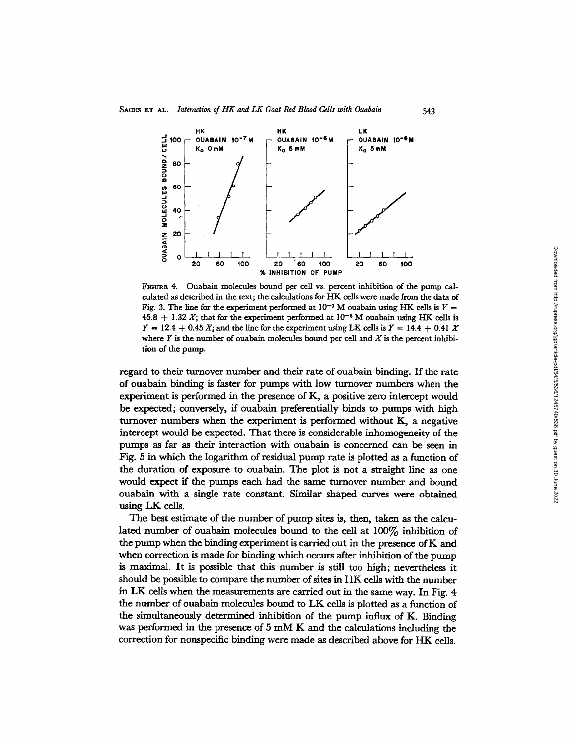

543

FIGURE 4. Ouabain molecules bound per cell vs. percent inhibition of the pump calculated as described in the text; the calculations for HK cells were made from the data of Fig. 3. The line for the experiment performed at  $10^{-7}$  M ouabain using HK cells is  $Y =$  $45.8 + 1.32 X$ ; that for the experiment performed at  $10^{-6}$  M ouabain using HK cells is  $Y = 12.4 + 0.45 X$ ; and the line for the experiment using LK cells is  $Y = 14.4 + 0.41 X$ where  $Y$  is the number of ouabain molecules bound per cell and  $X$  is the percent inhibition of the pump.

regard to their turnover number and their rate of ouabain binding. If the rate of ouabain binding is faster for pumps with low turnover numbers when the experiment is performed in the presence of K, a positive zero intercept would be expected; conversely, if ouabain preferentially binds to pumps with high turnover numbers when the experiment is performed without K, a negative intercept would be expected. That there is considerable inhomogeneity of the pumps as far as their interaction with ouabain is concerned can be seen in Fig. 5 in which the logarithm of residual pump rate is plotted as a function of the duration of exposure to ouabain. The plot is not a straight line as one would expect if the pumps each had the same turnover number and bound ouabain with a single rate constant. Similar shaped curves were obtained using LK cells.

The best estimate of the number of pump sites is, then, taken as the calculated number of ouabain molecules bound to the cell at  $100\%$  inhibition of the pump when the binding experiment is carried out in the presence of K and when correction is made for binding which occurs after inhibition of the pump is maximal. It is possible that this number is still too high; nevertheless it should be possible to compare the number of sites in HK cells with the number in LK cells when the measurements are carried out in the same way. In Fig. 4 the number of ouabain molecules bound to LK cells is plotted as a function of the simultaneously determined inhibition of the pump influx of K. Binding was performed in the presence of 5 mM K and the calculations including the correction for nonspecific binding were made as described above for HK cells.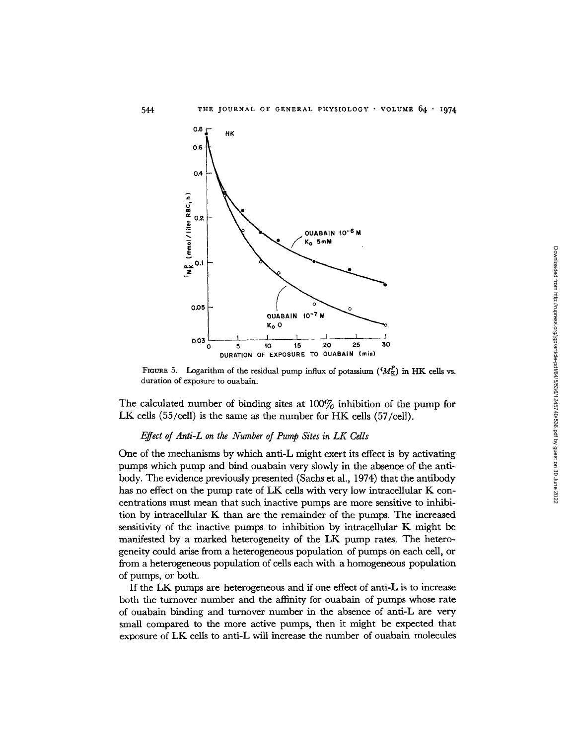

FIGURE 5. Logarithm of the residual pump influx of potassium  $({}^{i}M_{K}^{P})$  in HK cells vs. duration of exposure to ouabain.

The calculated number of binding sites at 100% inhibition of the pump for LK cells (55/cell) is the same as the number for HK cells (57/cell).

### *Effect of Anti-L on the Number of Pump Sites in LK Cells*

One of the mechanisms by which anti-L might exert its effect is by activating pumps which pump and bind ouabain very slowly in the absence of the antibody. The evidence previously presented (Sachs et al., 1974) that the antibody has no effect on the pump rate of LK cells with very low intracellular K concentrations must mean that such inactive pumps are more sensitive to inhibition by intracellular K than are the remainder of the pumps. The increased sensitivity of the inactive pumps to inhibition by intracellular K might be manifested by a marked heterogeneity of the LK pump rates. The heterogeneity could arise from a heterogeneous population of pumps on each cell, or from a heterogeneous population of cells each with a homogeneous population of pumps, or both.

If the LK pumps are heterogeneous and if one effect of anti-L is to increase both the turnover number and the affinity for ouabain of pumps whose rate of ouabain binding and turnover number in the absence of anti-L are very small compared to the more active pumps, then it might be expected that exposure of LK cells to anti-L will increase the number of ouabain molecules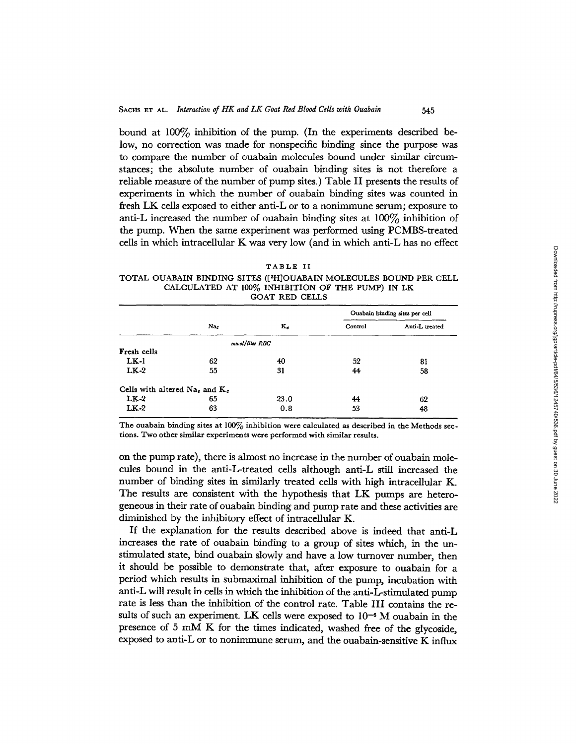bound at  $100\%$  inhibition of the pump. (In the experiments described below, no correction was made for nonspecific binding since the purpose was to compare the number of ouabain molecules bound under similar circumstances; the absolute number of ouabain binding sites is not therefore a reliable measure of the number of pump sites.) Table II presents the results of experiments in which the number of ouabain binding sites was counted in fresh LK cells exposed to either anti-L or to a nonimmune serum; exposure to anti-L increased the number of ouabain binding sites at  $100\%$  inhibition of the pump. When the same experiment was performed using PCMBS-treated cells in which intracellular K was very low (and in which anti-L has no effect

545

| ٠  |  |
|----|--|
| т, |  |

**TOTAL** OUABAIN BINDING **SITES** ([3H]OUABAIN MOLECULES BOUND PER CELL **CALCULATED AT** 100% INHIBITION OF THE PUMP) IN LK GOAT RED CELLS

|                                     |     |                |         | Ouabain binding sites per cell |
|-------------------------------------|-----|----------------|---------|--------------------------------|
|                                     | Nac | $K_c$          | Control | Anti-L treated                 |
|                                     |     | mmol/liter RBC |         |                                |
| Fresh cells                         |     |                |         |                                |
| $LK-1$                              | 62  | 40             | 52      | 81                             |
| $LK-2$                              | 55  | 31             | 44      | 58                             |
| Cells with altered $Nae$ and $Ke$ . |     |                |         |                                |
| $LK-2$                              | 65  | 23.0           | 44      | 62                             |
| $LK-2$                              | 63  | 0.8            | 53      | 48                             |

The ouabain binding sites at 100% inhibition were calculated as described in the Methods sections. Two other similar experiments were performed with similar results.

on the pump rate), there is almost no increase in the number of ouabain molecules bound in the anti-L-treated cells although anti-L still increased the number of binding sites in similarly treated cells with high intracellular K. The results are consistent with the hypothesis that LK pumps are heterogeneous in their rate of ouabain binding and pump rate and these activities are diminished by the inhibitory effect of intracellular K.

If the explanation for the results described above is indeed that anti-L increases the rate of ouabain binding to a group of sites which, in the unstimulated state, bind ouabain slowly and have a low turnover number, then it should be possible to demonstrate that, after exposure to ouabain for a period which results in submaximal inhibition of the pump, incubation with anti-L will result in cells in which the inhibition of the anti-L-stimulated pump rate is less than the inhibition of the control rate. Table III contains the results of such an experiment. LK cells were exposed to  $10^{-6}$  M ouabain in the presence of 5 mM K for the times indicated, washed free of the glycoside, exposed to anti-L or to nonimmune serum, and the ouabain-sensitive K influx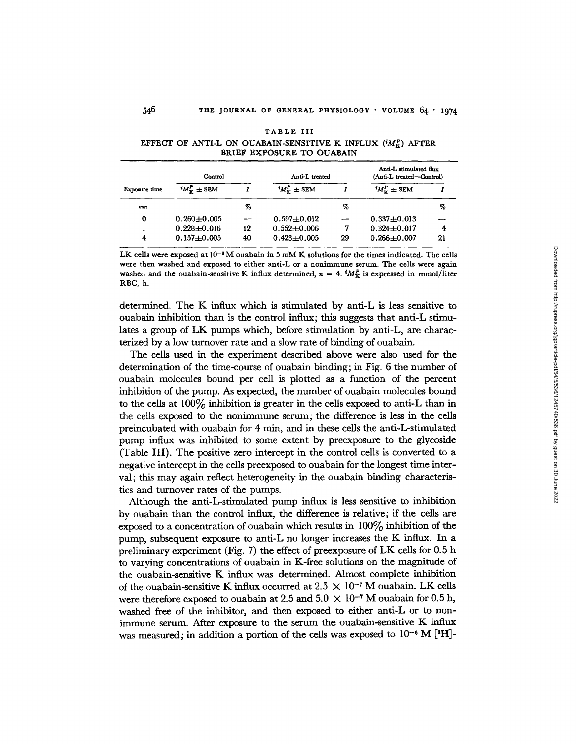| Control       |                           |    | Anti-L treated      | Anti-L stimulated flux<br>(Anti-L treated-Control) |                            |    |
|---------------|---------------------------|----|---------------------|----------------------------------------------------|----------------------------|----|
| Exposure time | $^{i}M_{\nu}^{P} \pm$ SEM |    | ${}^tM^P_v \pm$ SEM |                                                    | ${}^{i}M_{\tau}^{P}$ ± SEM |    |
| min           |                           | %  |                     | %                                                  |                            | %  |
| 0             | $0.260 \pm 0.005$         |    | $0.597 + 0.012$     |                                                    | $0.337 + 0.013$            |    |
|               | $0.228 + 0.016$           | 12 | $0.552 + 0.006$     |                                                    | $0.324 + 0.017$            | 4  |
| 4             | $0.157 + 0.005$           | 40 | $0.423 + 0.005$     | 29                                                 | $0.266 \pm 0.007$          | 21 |

|  | RТ<br>. . | L | u<br>c | and the |  |  |
|--|-----------|---|--------|---------|--|--|
|  |           |   |        |         |  |  |

546

EFFECT OF ANTI-L ON OUABAIN-SENSITIVE K INFLUX *(Mp)* AFTER BRIEF EXPOSURE **TO** OUABAIN

LK **cells were** exposed at **10-6** M ouabain in 5 mM K solutions for the times indicated. The cells were then washed and exposed **to** either anti-L **or** a nonimmune serum. The **cells** were again washed and the ouabain-sensitive K influx determined,  $n = 4$ .  $^iM_K^p$  is expressed in mmol/liter RBC, h.

determined. The K influx which is stimulated by anti-L is less sensitive to ouabain inhibition than is the control influx; this suggests that anti-L stimulates a group of LK pumps which, before stimulation by anti-L, are characterized by a low turnover rate and a slow rate of binding of ouabain.

The cells used in the experiment described above were also used for the determination of the time-course of ouabain binding; in Fig. 6 the number of ouabain molecules bound per cell is plotted as a function of the percent inhibition of the pump. As expected, the number of ouabain molecules bound to the cells at  $100\%$  inhibition is greater in the cells exposed to anti-L than in the cells exposed to the nonimmune serum; the difference is less in the cells preincubated with ouabain for 4 min, and in these cells the anti-L-stimulated pump influx was inhibited to some extent by preexposure to the glycoside (Table **III).** The positive zero intercept in the control cells is converted to a negative intercept in the cells preexposed to ouabain for the longest time interval; this may again reflect heterogeneity in the ouabain binding characteristics and turnover rates of the pumps.

Although the anti-L-stimulated pump influx is less sensitive to inhibition by ouabain than the control influx, the difference is relative; if the cells are exposed to a concentration of ouabain which results in 100% inhibition of the pump, subsequent exposure to anti-L no longer increases the K influx. In a preliminary experiment (Fig. 7) the effect of preexposure of LK cells for 0.5 h to varying concentrations of ouabain in K-free solutions on the magnitude of the ouabain-sensitive K influx was determined. Almost complete inhibition of the ouabain-sensitive K influx occurred at 2.5  $\times$  10<sup>-7</sup> M ouabain. LK cells were therefore exposed to ouabain at 2.5 and 5.0  $\times$  10<sup>-7</sup> M ouabain for 0.5 h, washed free of the inhibitor, and then exposed to either anti-L or to nonimmune serum. After exposure to the serum the ouabain-sensitive K influx was measured; in addition a portion of the cells was exposed to  $10^{-6}$  M [<sup>8</sup>H]-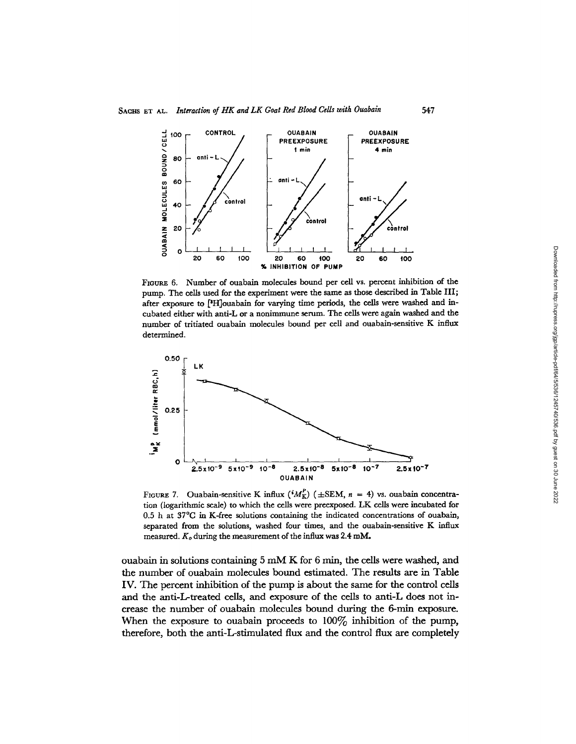

FIGURE 6. Number of ouabain molecules bound per cell vs. percent inhibition of the pump. The cells used for the experiment were the same as those described in Table III; after exposure to [H]ouabain for varying time periods, the cells were washed and incubated either with anti-L or a nonimmune serum. The cells were again washed and the number of tritiated ouabain molecules bound per cell and ouabain-sensitive K influx determined.



FIGURE 7. Ouabain-sensitive K influx  $({}^{i}M_{K}^{p})$  ( $\pm$ SEM,  $n = 4$ ) vs. ouabain concentration (logarithmic scale) to which the cells were preexposed. LK cells were incubated for 0.5 h at 37°C in K-free solutions containing the indicated concentrations of ouabain, separated from the solutions, washed four times, and the ouabain-sensitive K influx measured. *K,* during the measurement of the influx was 2.4 mM.

ouabain in solutions containing 5 mM K for 6 min, the cells were washed, and the number of ouabain molecules bound estimated. The results are in Table IV. The percent inhibition of the pump is about the same for the control cells and the anti-L-treated cells, and exposure of the cells to anti-L does not increase the number of ouabain molecules bound during the 6-min exposure. When the exposure to ouabain proceeds to  $100\%$  inhibition of the pump, therefore, both the anti-L-stimulated flux and the control flux are completely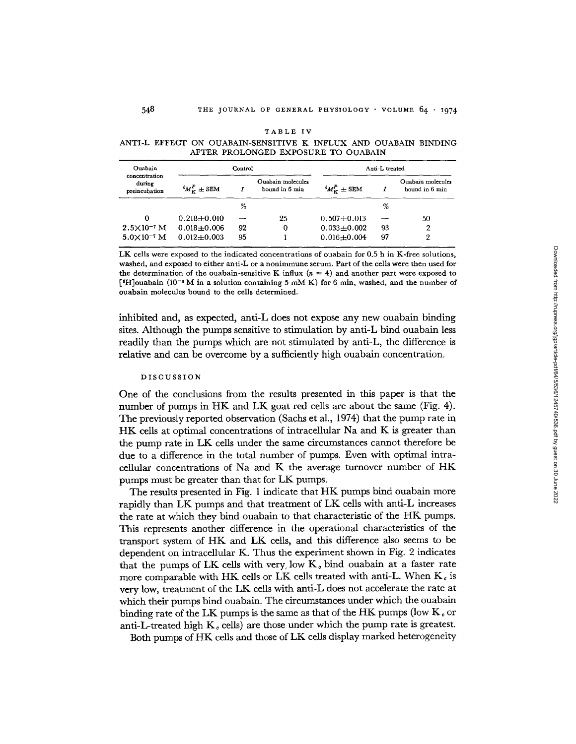| Ouabain                                  | Control                     |    |                                     |                         | Anti-L treated |                                     |
|------------------------------------------|-----------------------------|----|-------------------------------------|-------------------------|----------------|-------------------------------------|
| concentration<br>during<br>preincubation | ${}^{i}M_{\rm Y}^{P}$ ± SEM |    | Ouabain molecules<br>bound in 6 min | ${}^{i}M_{K}^{P}$ ± SEM |                | Ouabain molecules<br>bound in 6 min |
|                                          |                             | %  |                                     |                         | %              |                                     |
| 0                                        | $0.218 \pm 0.010$           |    | 25                                  | $0.507 + 0.013$         |                | 50                                  |
| $2.5 \times 10^{-7}$ M                   | $0.018 + 0.006$             | 92 | 0                                   | $0.033 + 0.002$         | 93             | 2                                   |
| $5.0\times10^{-7}$ M                     | $0.012 + 0.003$             | 95 |                                     | $0.016 + 0.004$         | 97             | 2                                   |

TABLE IV

**ANTI-L EFFECT ON OUABAIN-SENSITIVE** K INFLUX AND **OUABAIN BINDING AFTER PROLONGED EXPOSURE TO OUABAIN**

LK cells were exposed to the indicated concentrations of ouabain for 0.5 h in K-free solutions, washed, and exposed to either anti-L or a nonimmune serum. Part of the cells were then used for the determination of the ouabain-sensitive K influx  $(n = 4)$  and another part were exposed to ['H]ouabain (10 - <sup>6</sup> M in a solution containing 5 mM K) for 6 min, washed, and the number of ouabain molecules bound to the cells determined.

inhibited and, as expected, anti-L does not expose any new ouabain binding sites. Although the pumps sensitive to stimulation by anti-L bind ouabain less readily than the pumps which are not stimulated by anti-L, the difference is relative and can be overcome by a sufficiently high ouabain concentration.

#### DISCUSSION

One of the conclusions from the results presented in this paper is that the number of pumps in HK and LK goat red cells are about the same (Fig. 4). The previously reported observation (Sachs et al., 1974) that the pump rate in HK cells at optimal concentrations of intracellular Na and K is greater than the pump rate in LK cells under the same circumstances cannot therefore be due to a difference in the total number of pumps. Even with optimal intracellular concentrations of Na and K the average turnover number of HK pumps must be greater than that for LK pumps.

The results presented in Fig. 1 indicate that HK pumps bind ouabain more rapidly than LK pumps and that treatment of LK cells with anti-L increases the rate at which they bind ouabain to that characteristic of the HK pumps. This represents another difference in the operational characteristics of the transport system of HK and LK cells, and this difference also seems to be dependent on intracellular K. Thus the experiment shown in Fig. 2 indicates that the pumps of LK cells with very, low  $K_e$  bind ouabain at a faster rate more comparable with HK cells or LK cells treated with anti-L. When  $K_{\epsilon}$  is very low, treatment of the LK cells with anti-L does not accelerate the rate at which their pumps bind ouabain. The circumstances under which the ouabain binding rate of the LK pumps is the same as that of the HK pumps (low  $K_c$  or anti-L-treated high  $K_c$  cells) are those under which the pump rate is greatest.

Both pumps of HK cells and those of LK cells display marked heterogeneity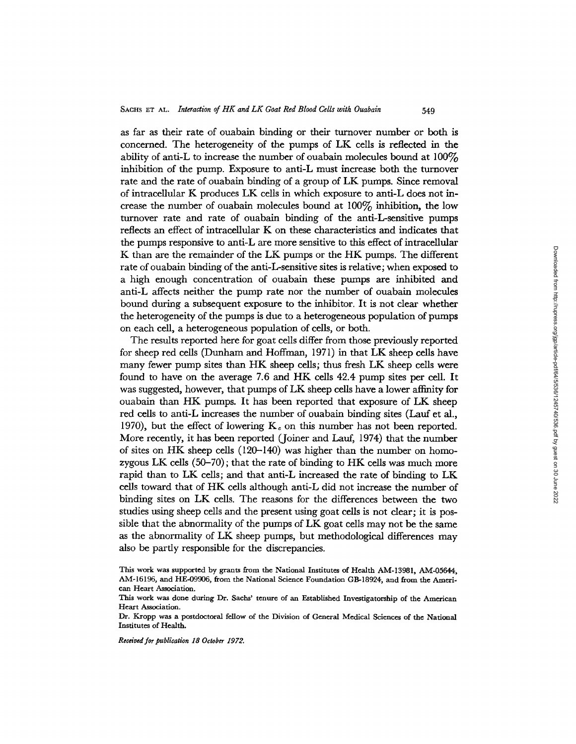as far as their rate of ouabain binding or their turnover number or both is concerned. The heterogeneity of the pumps of LK cells is reflected in the ability of anti-L to increase the number of ouabain molecules bound at  $100\%$ inhibition of the pump. Exposure to anti-L must increase both the turnover rate and the rate of ouabain binding of a group of LK pumps. Since removal of intracellular K produces LK cells in which exposure to anti-L does not increase the number of ouabain molecules bound at  $100\%$  inhibition, the low turnover rate and rate of ouabain binding of the anti-L-sensitive pumps reflects an effect of intracellular K on these characteristics and indicates that the pumps responsive to anti-L are more sensitive to this effect of intracellular K than are the remainder of the LK pumps or the HK pumps. The different rate of ouabain binding of the anti-L-sensitive sites is relative; when exposed to a high enough concentration of ouabain these pumps are inhibited and anti-L affects neither the pump rate nor the number of ouabain molecules bound during a subsequent exposure to the inhibitor. It is not clear whether the heterogeneity of the pumps is due to a heterogeneous population of pumps on each cell, a heterogeneous population of cells, or both.

The results reported here for goat cells differ from those previously reported for sheep red cells (Dunham and Hoffman, 1971) in that LK sheep cells have many fewer pump sites than HK sheep cells; thus fresh LK sheep cells were found to have on the average 7.6 and HK cells 42.4 pump sites per cell. It was suggested, however, that pumps of LK sheep cells have a lower affinity for ouabain than HK pumps. It has been reported that exposure of LK sheep red cells to anti-L increases the number of ouabain binding sites (Lauf et al., 1970), but the effect of lowering  $K_c$  on this number has not been reported. More recently, it has been reported (Joiner and Lauf, 1974) that the number of sites on HK sheep cells (120-140) was higher than the number on homozygous LK cells (50-70); that the rate of binding to HK cells was much more rapid than to LK cells; and that anti-L increased the rate of binding to LK cells toward that of HK cells although anti-L did not increase the number of binding sites on LK cells. The reasons for the differences between the two studies using sheep cells and the present using goat cells is not clear; it is possible that the abnormality of the pumps of LK goat cells may not be the same as the abnormality of LK sheep pumps, but methodological differences may also be partly responsible for the discrepancies.

*Received for publication 18 October 1972.*

This work was supported by grants from the National Institutes of Health AM-13981, AM-05644, AM-16196, and HE-09906, from the National Science Foundation GB-18924, and from the American Heart Association.

This work was done during Dr. Sachs' tenure of an Established Investigatorship of the American Heart Association.

Dr. Kropp was a postdoctoral fellow of the Division of General Medical Sciences of the National Institutes of Health.